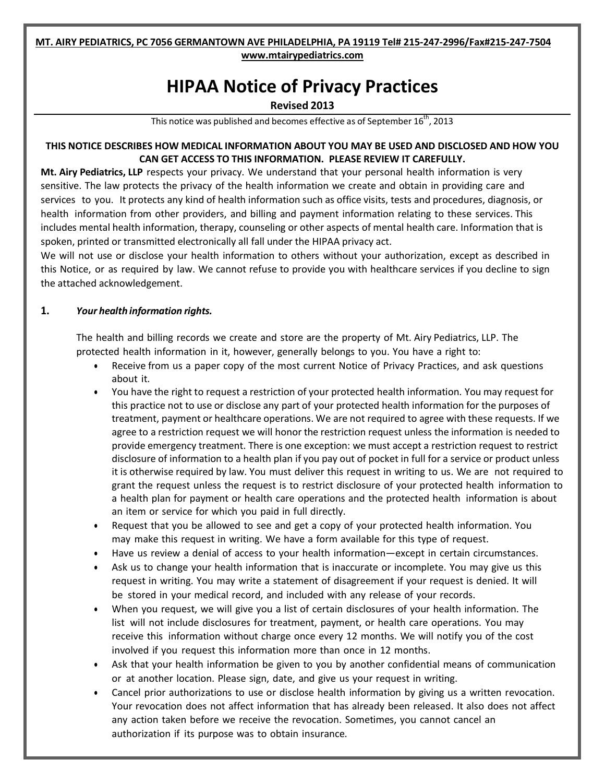#### **MT. AIRY PEDIATRICS, PC 7056 GERMANTOWN AVE PHILADELPHIA, PA 19119 Tel# 215-247-2996/Fax#215-247-7504 [www.mtairypediatrics.com](http://www.mtairypediatrics.com/)**

# **HIPAA Notice of Privacy Practices**

### **Revised 2013**

This notice was published and becomes effective as of September  $16^{\text{th}}$ , 2013

## **THIS NOTICE DESCRIBES HOW MEDICAL INFORMATION ABOUT YOU MAY BE USED AND DISCLOSED AND HOW YOU CAN GET ACCESS TO THIS INFORMATION. PLEASE REVIEW IT CAREFULLY.**

**Mt. Airy Pediatrics, LLP** respects your privacy. We understand that your personal health information is very sensitive. The law protects the privacy of the health information we create and obtain in providing care and services to you. It protects any kind of health information such as office visits, tests and procedures, diagnosis, or health information from other providers, and billing and payment information relating to these services. This includes mental health information, therapy, counseling or other aspects of mental health care. Information that is spoken, printed or transmitted electronically all fall under the HIPAA privacy act.

We will not use or disclose your health information to others without your authorization, except as described in this Notice, or as required by law. We cannot refuse to provide you with healthcare services if you decline to sign the attached acknowledgement.

## **1.** *Your health information rights.*

The health and billing records we create and store are the property of Mt. Airy Pediatrics, LLP. The protected health information in it, however, generally belongs to you. You have a right to:

- Receive from us a paper copy of the most current Notice of Privacy Practices, and ask questions about it.
- You have the right to request a restriction of your protected health information. You may request for this practice not to use or disclose any part of your protected health information for the purposes of treatment, payment or healthcare operations. We are not required to agree with these requests. If we agree to a restriction request we will honor the restriction request unless the information is needed to provide emergency treatment. There is one exception: we must accept a restriction request to restrict disclosure of information to a health plan if you pay out of pocket in full for a service or product unless it is otherwise required by law. You must deliver this request in writing to us. We are not required to grant the request unless the request is to restrict disclosure of your protected health information to a health plan for payment or health care operations and the protected health information is about an item or service for which you paid in full directly.
- Request that you be allowed to see and get a copy of your protected health information. You may make this request in writing. We have a form available for this type of request.
- Have us review a denial of access to your health information—except in certain circumstances.
- Ask us to change your health information that is inaccurate or incomplete. You may give us this request in writing. You may write a statement of disagreement if your request is denied. It will be stored in your medical record, and included with any release of your records.
- When you request, we will give you a list of certain disclosures of your health information. The list will not include disclosures for treatment, payment, or health care operations. You may receive this information without charge once every 12 months. We will notify you of the cost involved if you request this information more than once in 12 months.
- Ask that your health information be given to you by another confidential means of communication or at another location. Please sign, date, and give us your request in writing.
- Cancel prior authorizations to use or disclose health information by giving us a written revocation. Your revocation does not affect information that has already been released. It also does not affect any action taken before we receive the revocation. Sometimes, you cannot cancel an authorization if its purpose was to obtain insurance.